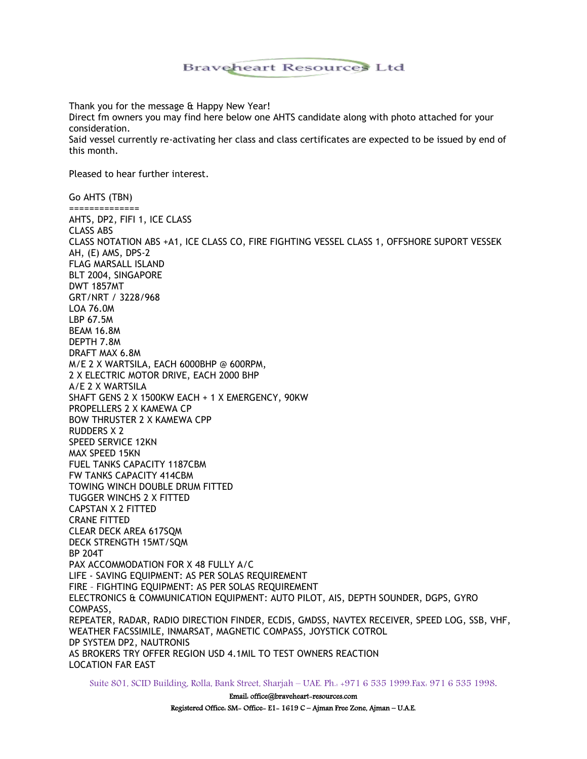## Braveheart Resources Ltd

Thank you for the message & Happy New Year! Direct fm owners you may find here below one AHTS candidate along with photo attached for your consideration. Said vessel currently re-activating her class and class certificates are expected to be issued by end of this month.

Pleased to hear further interest.

Go AHTS (TBN) ============== AHTS, DP2, FIFI 1, ICE CLASS CLASS ABS CLASS NOTATION ABS +A1, ICE CLASS CO, FIRE FIGHTING VESSEL CLASS 1, OFFSHORE SUPORT VESSEK AH, (E) AMS, DPS-2 FLAG MARSALL ISLAND BLT 2004, SINGAPORE DWT 1857MT GRT/NRT / 3228/968 LOA 76.0M LBP 67.5M BEAM 16.8M DEPTH 7.8M DRAFT MAX 6.8M M/E 2 X WARTSILA, EACH 6000BHP @ 600RPM, 2 X ELECTRIC MOTOR DRIVE, EACH 2000 BHP A/E 2 X WARTSILA SHAFT GENS 2 X 1500KW EACH + 1 X EMERGENCY, 90KW PROPELLERS 2 X KAMEWA CP BOW THRUSTER 2 X KAMEWA CPP RUDDERS X 2 SPEED SERVICE 12KN MAX SPEED 15KN FUEL TANKS CAPACITY 1187CBM FW TANKS CAPACITY 414CBM TOWING WINCH DOUBLE DRUM FITTED TUGGER WINCHS 2 X FITTED CAPSTAN X 2 FITTED CRANE FITTED CLEAR DECK AREA 617SQM DECK STRENGTH 15MT/SQM BP 204T PAX ACCOMMODATION FOR X 48 FULLY A/C LIFE - SAVING EQUIPMENT: AS PER SOLAS REQUIREMENT FIRE – FIGHTING EQUIPMENT: AS PER SOLAS REQUIREMENT ELECTRONICS & COMMUNICATION EQUIPMENT: AUTO PILOT, AIS, DEPTH SOUNDER, DGPS, GYRO COMPASS, REPEATER, RADAR, RADIO DIRECTION FINDER, ECDIS, GMDSS, NAVTEX RECEIVER, SPEED LOG, SSB, VHF, WEATHER FACSSIMILE, INMARSAT, MAGNETIC COMPASS, JOYSTICK COTROL DP SYSTEM DP2, NAUTRONIS AS BROKERS TRY OFFER REGION USD 4.1MIL TO TEST OWNERS REACTION LOCATION FAR EAST

Suite 801, SCID Building, Rolla, Bank Street, Sharjah – UAE. Ph.: +971 6 535 1999.Fax: 971 6 535 1998.